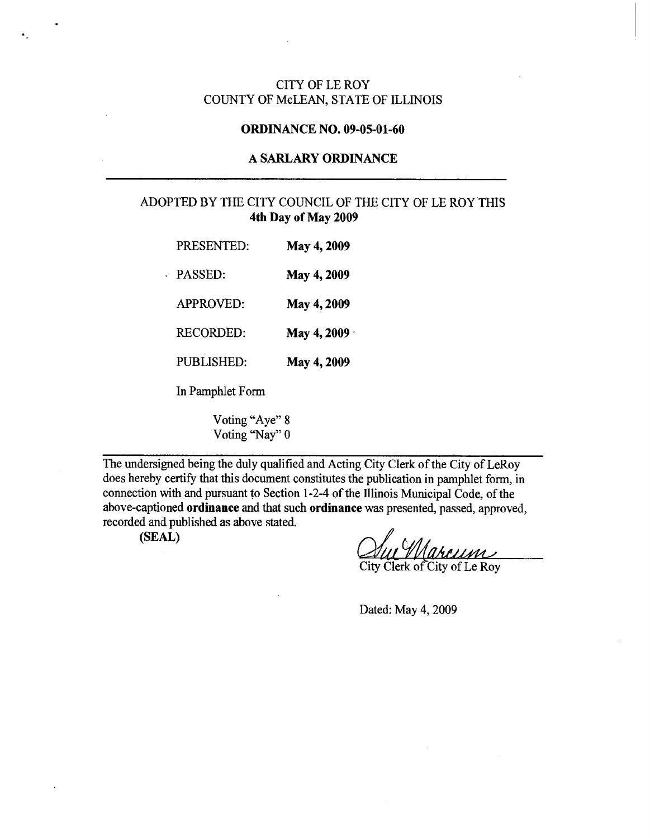### CITY OF LE ROY COUNTY OF McLEAN, STATE OF ILLINOIS

#### ORDINANCE NO. 09-05-01-60

## A SARLARY ORDINANCE

## ADOPTED BY THE CITY COUNCIL OF THE CITY OF LE ROY THIS 4th Day of May 2009

| PRESENTED:       | May 4, 2009         |
|------------------|---------------------|
| <b>PASSED:</b>   | May 4, 2009         |
| <b>APPROVED:</b> | May 4, 2009         |
| <b>RECORDED:</b> | May 4, 2009 $\cdot$ |
| PUBLISHED:       | May 4, 2009         |
|                  |                     |

In Pamphlet Form

Voting "Aye" 8 Voting "Nay" 0

The undersigned being the duly qualified and Acting City Clerk of the City of LeRoy does hereby certify that this document constitutes the publication in pamphlet form, in connection with and pursuant to Section 1-2-4 of the Illinois Municipal Code, of the above-captioned ordinance and that such ordinance was presented, passed, approved, recorded and published as above stated.

 $(SEAL)$ 

arcum City Clerk of City of Le Roy

Dated: May 4, 2009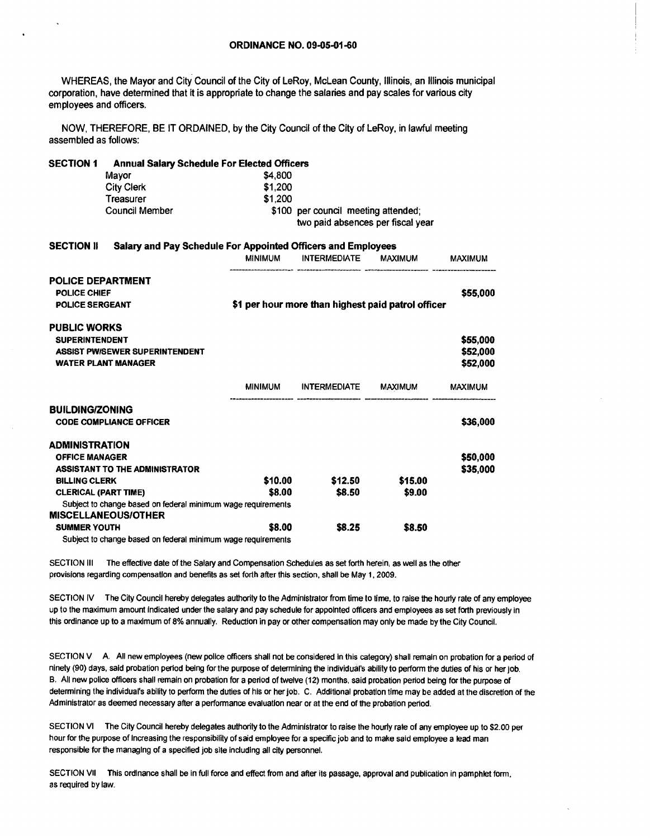WHEREAS, the Mayor and City Council of the City of LeRoy, McLean County, Illinois, an Illinois municipal corporation, have determined that it is appropriate to change the salaries and pay scales for various city employees and officers.

NOW, THEREFORE, BE IT ORDAINED, by the City Council of the City of LeRoy, in lawful meeting assembled as follows:

| <b>SECTION 1</b>            | <b>Annual Salary Schedule For Elected Officers</b>           |                                                    |                                     |         |                |  |
|-----------------------------|--------------------------------------------------------------|----------------------------------------------------|-------------------------------------|---------|----------------|--|
|                             | Mayor                                                        | \$4,800                                            |                                     |         |                |  |
|                             | <b>City Clerk</b>                                            | \$1,200                                            |                                     |         |                |  |
|                             | Treasurer                                                    | \$1.200                                            |                                     |         |                |  |
|                             | Council Member                                               |                                                    | \$100 per council meeting attended; |         |                |  |
|                             |                                                              | two paid absences per fiscal year                  |                                     |         |                |  |
| <b>SECTION II</b>           | Salary and Pay Schedule For Appointed Officers and Employees |                                                    |                                     |         |                |  |
|                             |                                                              |                                                    | MINIMUM INTERMEDIATE MAXIMUM        |         | <b>MAXIMUM</b> |  |
| <b>POLICE DEPARTMENT</b>    |                                                              |                                                    |                                     |         |                |  |
| <b>POLICE CHIEF</b>         |                                                              |                                                    |                                     |         | \$55,000       |  |
| POLICE SERGEANT             |                                                              | \$1 per hour more than highest paid patrol officer |                                     |         |                |  |
| <b>PUBLIC WORKS</b>         |                                                              |                                                    |                                     |         |                |  |
| <b>SUPERINTENDENT</b>       |                                                              |                                                    |                                     |         | \$55,000       |  |
|                             | <b>ASSIST PW/SEWER SUPERINTENDENT</b>                        |                                                    |                                     |         | \$52,000       |  |
|                             | <b>WATER PLANT MANAGER</b>                                   |                                                    |                                     |         | \$52,000       |  |
|                             |                                                              |                                                    | MINIMUM INTERMEDIATE MAXIMUM        |         | <b>MAXIMUM</b> |  |
| <b>BUILDING/ZONING</b>      |                                                              |                                                    |                                     |         |                |  |
|                             | <b>CODE COMPLIANCE OFFICER</b>                               |                                                    |                                     |         | \$36,000       |  |
| <b>ADMINISTRATION</b>       |                                                              |                                                    |                                     |         |                |  |
| <b>OFFICE MANAGER</b>       |                                                              |                                                    |                                     |         | \$50,000       |  |
|                             | <b>ASSISTANT TO THE ADMINISTRATOR</b>                        |                                                    |                                     |         | \$35,000       |  |
| <b>BILLING CLERK</b>        |                                                              | \$10.00                                            | \$12.50                             | \$15.00 |                |  |
| <b>CLERICAL (PART TIME)</b> |                                                              | \$8.00                                             | \$8.50                              | \$9.00  |                |  |
|                             | Subject to change based on federal minimum wage requirements |                                                    |                                     |         |                |  |
|                             | <b>MISCELLANEOUS/OTHER</b>                                   |                                                    |                                     |         |                |  |
| <b>SUMMER YOUTH</b>         |                                                              | \$8.00                                             | \$8.25                              | \$8.50  |                |  |

Subject to change based on federal minimum wage requirements

SECTION III The effective date of the Salary and Compensation Schedules as set forth herein, as well as the other provisions regarding compensation and benefits as set forth after this section, shall be May 1, 2009,

SECTION IV The City Council hereby delegates authority to the Administrator from time to time, to raise the hourly rate of any employee up to the maximum amount indicated under the salary and pay schedule for appointed officers and employees as set forth previously in this ordinance up to a maximum of 8% annually. Reduction in pay or other compensation may only be made by the City Council.

SECTION V A. All new employees (new police officers shall not be considered in this category) shall remain on probation for a period of ninety (90) days, said probation period being for the purpose of determining the individual's ability to perform the duties of his or herjob. B. All new police officers shall remain on probation for a period of twelve (12) months, said probation period being for the purpose of determining the individual's ability to perform the duties of his or her job. C. Additional probation time may be added at the discretion of the Administrator as deemed necessary after a performance evaluation near or at the end of the probation period.

SECTION VI The City Council hereby delegates authority to the Administrator to raise the hourly rate of any employee up to \$2.00 per hour for the purpose of increasing the responsibility of said employee for a specific job and to make said employee a lead man responsible for the managing of a specified job site including all city personnel.

SECTION VII This ordinance shall be in full force and effect from and after its passage, approval and publication in pamphlet form, as required by law.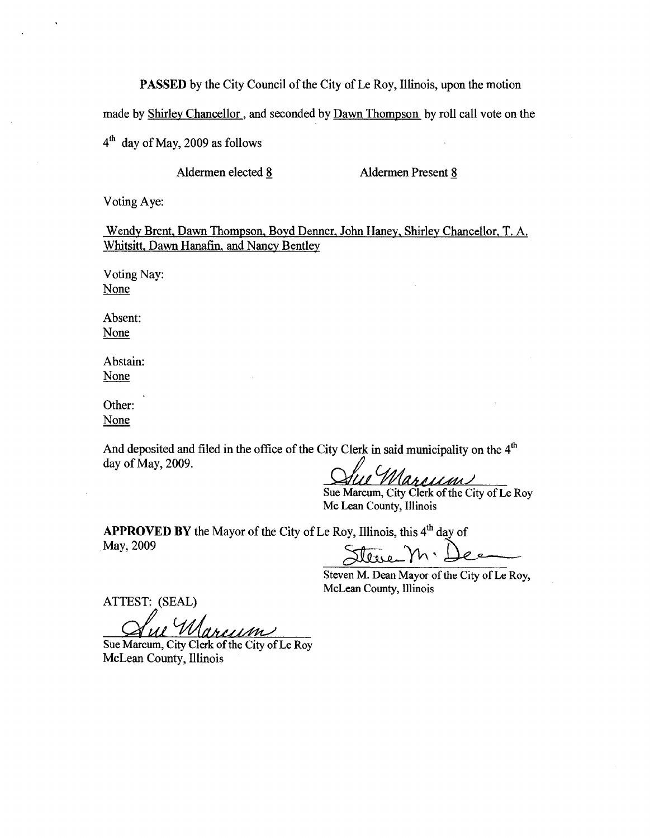**PASSED** by the City Council of the City of Le Roy, Illinois, upon the motion

made by Shirley Chancellor, and seconded by Dawn Thompson by roll call vote on the

 $4<sup>th</sup>$  day of May, 2009 as follows

Aldermen elected 8 Aldermen Present 8

Voting Aye:

Wendy Brent, Dawn Thompson, Boyd Denner, John Haney, Shirley Chancellor, T. A. Whitsitt, Dawn Hanafin, and Nancy Bentley

Voting Nay: None

Absent: None

Abstain: None

Other: None

And deposited and filed in the office of the City Clerk in said municipality on the  $4<sup>th</sup>$ day of May, 2009.

Janessun *Gip* 

Sue Marcum, City Clerk of the City of Le Roy Mc Lean County, Illinois

**APPROVED BY** the Mayor of the City of Le Roy, Illinois, this 4<sup>th</sup> day of May, 2009

Steven  $\mathcal{W}\setminus\mathcal{L}$ 

Steven M. Dean Mayor of the City of Le Roy, McLean County, Illinois

ATTEST: (SEAL)

arcum

Sue Marcum, City Clerk of the City of Le Roy McLean County, Illinois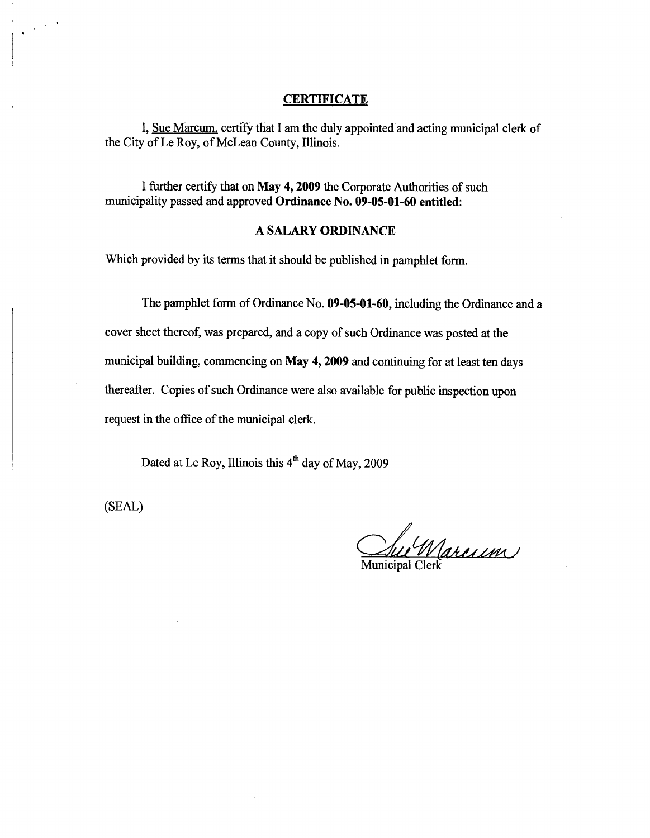### **CERTIFICATE**

I, Sue Marcum, certify that I am the duly appointed and acting municipal clerk of the City of Le Roy, of McLean County, Illinois.

I further certify that on **May 4, 2009** the Corporate Authorities of such municipality passed and approved **Ordinance No. 09-05-01-60 entitled:** 

### **A SALARY ORDINANCE**

Which provided by its terms that it should be published in pamphlet form.

The pamphlet form of Ordinance No. **09-05-01-60,** including the Ordinance and a cover sheet thereof, was prepared, and a copy of such Ordinance was posted at the municipal building, commencing on **May 4, 2009** and continuing for at least ten days thereafter. Copies of such Ordinance were also available for public inspection upon

request in the office of the municipal clerk.

Dated at Le Roy, Illinois this  $4<sup>th</sup>$  day of May, 2009

(SEAL)

Veu Warcrem